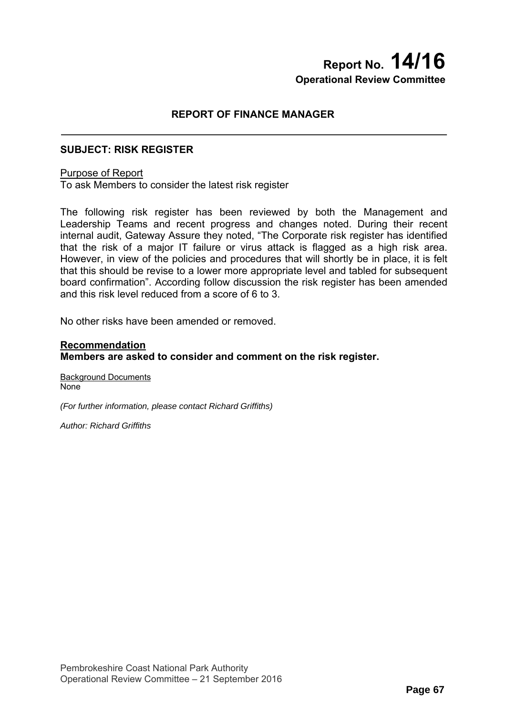# **Report No. 14/16 Operational Review Committee**

## **REPORT OF FINANCE MANAGER**

## **SUBJECT: RISK REGISTER**

### Purpose of Report

To ask Members to consider the latest risk register

The following risk register has been reviewed by both the Management and Leadership Teams and recent progress and changes noted. During their recent internal audit, Gateway Assure they noted, "The Corporate risk register has identified that the risk of a major IT failure or virus attack is flagged as a high risk area. However, in view of the policies and procedures that will shortly be in place, it is felt that this should be revise to a lower more appropriate level and tabled for subsequent board confirmation". According follow discussion the risk register has been amended and this risk level reduced from a score of 6 to 3.

No other risks have been amended or removed.

## **Recommendation Members are asked to consider and comment on the risk register.**

Background Documents None

*(For further information, please contact Richard Griffiths)* 

*Author: Richard Griffiths*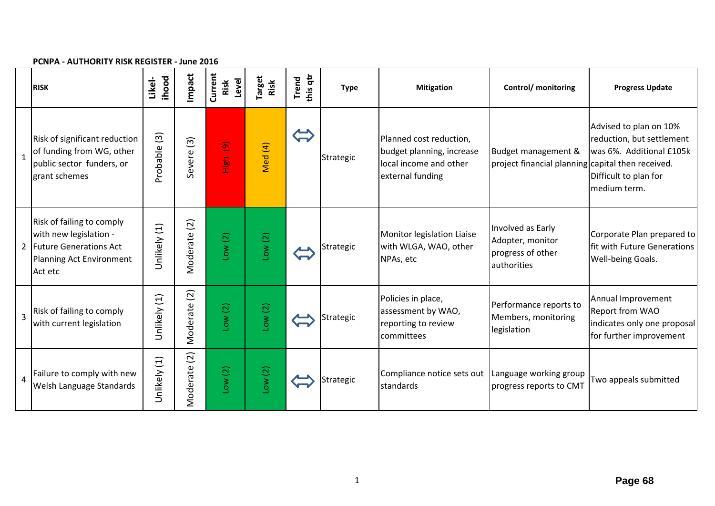|                | r Civr A - AO HIONITT NON NEODTEN - JUNE 2010                                                                          |                         |                             |                                    |                       |                   |             |                                                                                                    |                                                                           |                                                                                                                          |
|----------------|------------------------------------------------------------------------------------------------------------------------|-------------------------|-----------------------------|------------------------------------|-----------------------|-------------------|-------------|----------------------------------------------------------------------------------------------------|---------------------------------------------------------------------------|--------------------------------------------------------------------------------------------------------------------------|
|                | <b>RISK</b>                                                                                                            | <b>ihood</b><br>Likel-  | Impact                      | Current<br>Level<br>Risk           | <b>Target</b><br>Risk | this qtr<br>Trend | <b>Type</b> | <b>Mitigation</b>                                                                                  | Control/ monitoring                                                       | <b>Progress Update</b>                                                                                                   |
| $\mathbf{1}$   | Risk of significant reduction<br>of funding from WG, other<br>public sector funders, or<br>grant schemes               | $\boxed{3}$<br>Probable | Severe <sub>(3)</sub>       | $\widehat{\mathbf{e}}$<br>ies<br>E | Med (4)               |                   | Strategic   | Planned cost reduction,<br>budget planning, increase<br>local income and other<br>external funding | Budget management &<br>project financial planning capital then received.  | Advised to plan on 10%<br>reduction, but settlement<br>was 6%. Additional £105k<br>Difficult to plan for<br>medium term. |
|                | Risk of failing to comply<br>with new legislation -<br>2 Future Generations Act<br>Planning Act Environment<br>Act etc | Unlikely (1)            | $\overline{2}$<br>Moderate  | Low(2)                             | Low(2)                |                   | Strategic   | Monitor legislation Liaise<br>with WLGA, WAO, other<br>NPAs, etc                                   | Involved as Early<br>Adopter, monitor<br>progress of other<br>authorities | Corporate Plan prepared to<br>fit with Future Generations<br>Well-being Goals.                                           |
| $\overline{3}$ | Risk of failing to comply<br>with current legislation                                                                  | Unlikely (1)            | $\widetilde{c}$<br>Moderate | Low(2)                             | Low(2)                |                   | Strategic   | Policies in place,<br>assessment by WAO,<br>reporting to review<br>committees                      | Performance reports to<br>Members, monitoring<br>legislation              | Annual Improvement<br><b>Report from WAO</b><br>indicates only one proposal<br>for further improvement                   |
| $\overline{a}$ | Failure to comply with new<br>Welsh Language Standards                                                                 | Unlikely (1)            | $\overline{2}$<br>Moderate  | Low(2)                             | Low(2)                |                   | Strategic   | Compliance notice sets out   Language working group<br>standards                                   | progress reports to CMT                                                   | Two appeals submitted                                                                                                    |

#### **PCNPA ‐ AUTHORITY RISK REGISTER ‐ June 2016**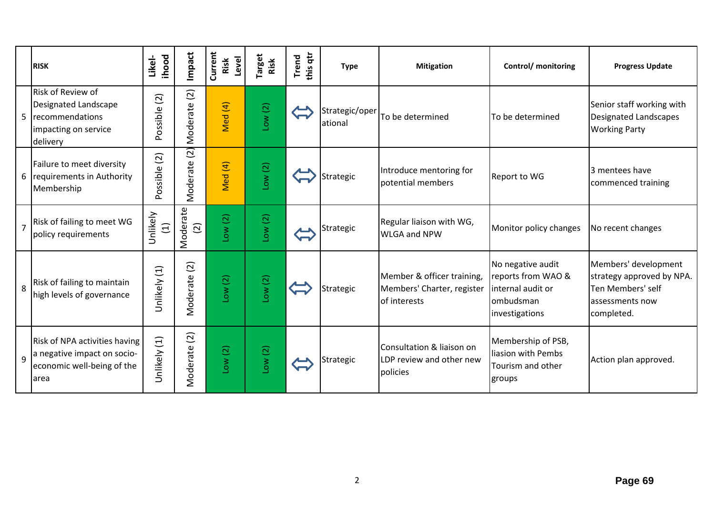|                | <b>RISK</b>                                                                                             | ihood<br>Likel-         | Impact                     | Current<br>Level<br>Risk     | <b>Target</b><br>Risk | this qtr<br><b>Trend</b> | <b>Type</b>               | <b>Mitigation</b>                                                        | Control/ monitoring                                                                         | <b>Progress Update</b>                                                                                  |
|----------------|---------------------------------------------------------------------------------------------------------|-------------------------|----------------------------|------------------------------|-----------------------|--------------------------|---------------------------|--------------------------------------------------------------------------|---------------------------------------------------------------------------------------------|---------------------------------------------------------------------------------------------------------|
| 5              | <b>Risk of Review of</b><br>Designated Landscape<br>recommendations<br>impacting on service<br>delivery | $(2)$<br>Possible       | $\overline{c}$<br>Moderate | Vled (4)                     | Low(2)                |                          | Strategic/oper<br>ational | To be determined                                                         | To be determined                                                                            | Senior staff working with<br>Designated Landscapes<br><b>Working Party</b>                              |
| 6              | Failure to meet diversity<br>requirements in Authority<br>Membership                                    | $\boxed{2}$<br>Possible | $\overline{a}$<br>Moderate | Vled (4)                     | Low(2)                |                          | Strategic                 | Introduce mentoring for<br>potential members                             | Report to WG                                                                                | 3 mentees have<br>commenced training                                                                    |
| $\overline{7}$ | Risk of failing to meet WG<br>policy requirements                                                       | Unlikely<br>$\Xi$       | Moderate<br>$\widehat{2}$  | Low(2)                       | Low(2)                |                          | Strategic                 | Regular liaison with WG,<br><b>WLGA and NPW</b>                          | Monitor policy changes                                                                      | No recent changes                                                                                       |
| 8              | Risk of failing to maintain<br>high levels of governance                                                | Unlikely (1)            | $\overline{2}$<br>Moderate | Low(2)                       | Low(2)                |                          | Strategic                 | Member & officer training,<br>Members' Charter, register<br>of interests | No negative audit<br>reports from WAO &<br>internal audit or<br>ombudsman<br>investigations | Members' development<br>strategy approved by NPA.<br>Ten Members' self<br>assessments now<br>completed. |
| $\mathsf{q}$   | Risk of NPA activities having<br>a negative impact on socio-<br>economic well-being of the<br>larea     | $\Xi$<br>Unlikely       | Moderate (2)               | $\overline{\text{C}}$<br>Low | Low(2)                |                          | Strategic                 | Consultation & liaison on<br>LDP review and other new<br>policies        | Membership of PSB,<br>liasion with Pembs<br>Tourism and other<br>groups                     | Action plan approved.                                                                                   |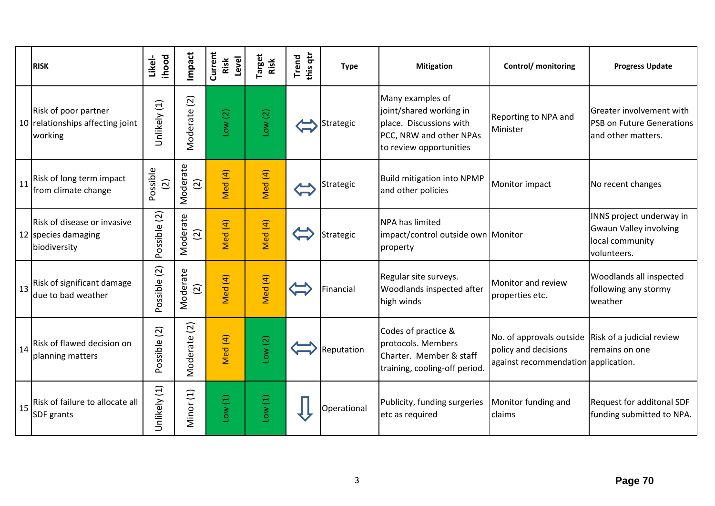|    | <b>RISK</b>                                                         | ihood<br>Likel-         | Impact                      | Current<br>Level<br>Risk | <b>Target</b><br>Risk | this qtr<br>Trend | <b>Type</b> | <b>Mitigation</b>                                                                                                            | Control/ monitoring                                                                                                       | <b>Progress Update</b>                                                                      |
|----|---------------------------------------------------------------------|-------------------------|-----------------------------|--------------------------|-----------------------|-------------------|-------------|------------------------------------------------------------------------------------------------------------------------------|---------------------------------------------------------------------------------------------------------------------------|---------------------------------------------------------------------------------------------|
|    | Risk of poor partner<br>10 relationships affecting joint<br>working | Unlikely (1)            | $\widetilde{c}$<br>Moderate | Low(2)                   | Low(2)                |                   | Strategic   | Many examples of<br>joint/shared working in<br>place. Discussions with<br>PCC, NRW and other NPAs<br>to review opportunities | Reporting to NPA and<br>Minister                                                                                          | Greater involvement with<br>PSB on Future Generations<br>and other matters.                 |
| 11 | Risk of long term impact<br>from climate change                     | Possible<br>$\boxed{2}$ | Moderate<br>$\widetilde{2}$ | Med (4)                  | Med (4)               |                   | Strategic   | <b>Build mitigation into NPMP</b><br>and other policies                                                                      | Monitor impact                                                                                                            | No recent changes                                                                           |
|    | Risk of disease or invasive<br>12 species damaging<br>biodiversity  | Possible (2)            | Moderate<br>$\overline{c}$  | Med (4)                  | Med (4)               |                   | Strategic   | <b>NPA has limited</b><br>impact/control outside own Monitor<br>property                                                     |                                                                                                                           | INNS project underway in<br><b>Gwaun Valley involving</b><br>local community<br>volunteers. |
| 13 | Risk of significant damage<br>due to bad weather                    | Possible (2)            | Moderate<br>$\overline{2}$  | Med (4)                  | Med (4)               |                   | Financial   | Regular site surveys.<br>Woodlands inspected after<br>high winds                                                             | Monitor and review<br>properties etc.                                                                                     | Woodlands all inspected<br>following any stormy<br>weather                                  |
| 14 | Risk of flawed decision on<br>planning matters                      | Possible (2)            | Moderate (2)                | Med (4)                  | Low(2)                |                   | Reputation  | Codes of practice &<br>protocols. Members<br>Charter. Member & staff<br>training, cooling-off period                         | No. of approvals outside $\vert$ Risk of a judicial review<br>policy and decisions<br>against recommendation application. | remains on one                                                                              |
| 15 | Risk of failure to allocate all<br><b>SDF</b> grants                | Unlikely (1)            | Minor (1)                   | Low(1)                   | Low(1)                |                   | Operational | Publicity, funding surgeries<br>etc as required                                                                              | Monitor funding and<br>claims                                                                                             | Request for additonal SDF<br>funding submitted to NPA.                                      |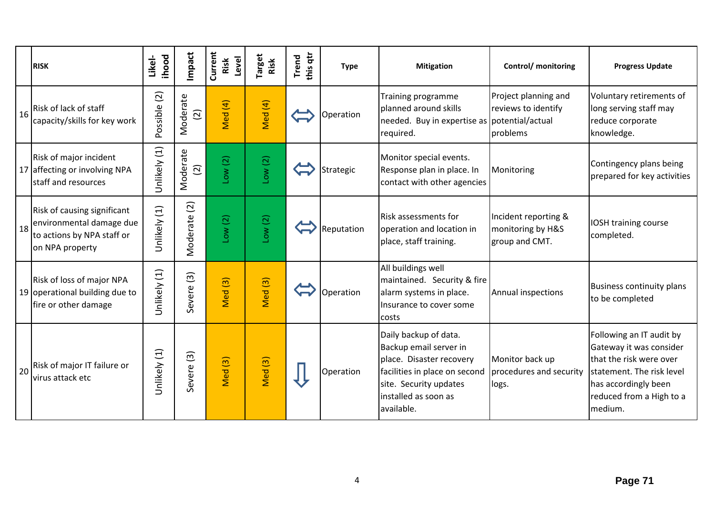|    | <b>RISK</b>                                                                                              | ihood<br>Likel- | Impact                              | Current<br>Level<br>Risk      | <b>Target</b><br>Risk | this qtr<br><b>Trend</b> | <b>Type</b> | <b>Mitigation</b>                                                                                                                                                            | Control/ monitoring                                         | <b>Progress Update</b>                                                                                                                                                     |
|----|----------------------------------------------------------------------------------------------------------|-----------------|-------------------------------------|-------------------------------|-----------------------|--------------------------|-------------|------------------------------------------------------------------------------------------------------------------------------------------------------------------------------|-------------------------------------------------------------|----------------------------------------------------------------------------------------------------------------------------------------------------------------------------|
| 16 | Risk of lack of staff<br>capacity/skills for key work                                                    | Possible (2)    | Moderate<br>$\overline{2}$          | Med (4)                       | Med (4)               |                          | Operation   | Training programme<br>planned around skills<br>needed. Buy in expertise as potential/actual<br>required.                                                                     | Project planning and<br>reviews to identify<br>problems     | Voluntary retirements of<br>long serving staff may<br>reduce corporate<br>knowledge.                                                                                       |
|    | Risk of major incident<br>17 affecting or involving NPA<br>staff and resources                           | Unlikely (1)    | Moderate<br>$\widetilde{2}$         | Low(2)                        | Low(2)                |                          | Strategic   | Monitor special events.<br>Response plan in place. In<br>contact with other agencies                                                                                         | Monitoring                                                  | Contingency plans being<br>prepared for key activities                                                                                                                     |
| 18 | Risk of causing significant<br>environmental damage due<br>to actions by NPA staff or<br>on NPA property | Unlikely (1)    | Moderate (2)                        | Low(2)                        | Low(2)                |                          | Reputation  | <b>Risk assessments for</b><br>operation and location in<br>place, staff training.                                                                                           | Incident reporting &<br>monitoring by H&S<br>group and CMT. | <b>IOSH training course</b><br>completed.                                                                                                                                  |
|    | Risk of loss of major NPA<br>19 operational building due to<br>fire or other damage                      | Unlikely (1)    | $\widetilde{\mathcal{E}}$<br>Severe | $\widehat{\mathbf{S}}$<br>Med | Med <sub>(3)</sub>    |                          | Operation   | All buildings well<br>maintained. Security & fire<br>alarm systems in place.<br>Insurance to cover some<br>costs                                                             | <b>Annual inspections</b>                                   | <b>Business continuity plans</b><br>to be completed                                                                                                                        |
| 20 | Risk of major IT failure or<br>virus attack etc                                                          | Unlikely (1)    | $\overline{3}$<br><b>Severe</b>     | Ned(3)                        | Med <sub>(3)</sub>    |                          | Operation   | Daily backup of data.<br>Backup email server in<br>place. Disaster recovery<br>facilities in place on second<br>site. Security updates<br>installed as soon as<br>available. | Monitor back up<br>procedures and security<br>logs.         | Following an IT audit by<br>Gateway it was consider<br>that the risk were over<br>statement. The risk level<br>has accordingly been<br>reduced from a High to a<br>medium. |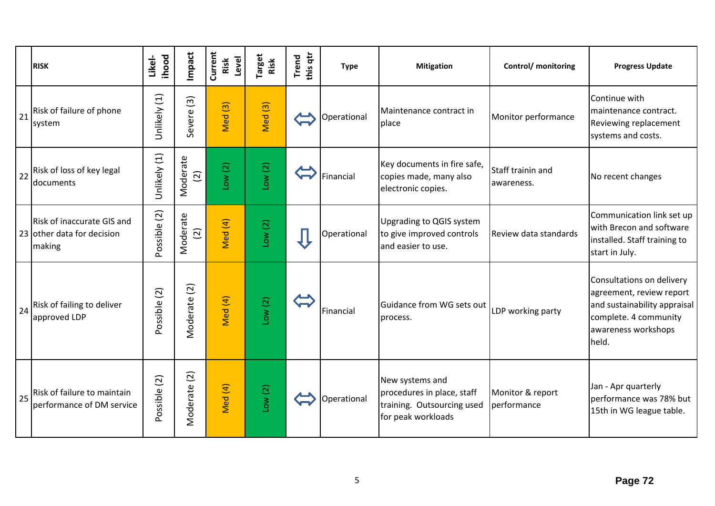|    | <b>RISK</b>                                                        | ihood<br>Likel- | Impact                     | Current<br>Level<br>Risk | Target<br>Risk     | this qtr<br><b>Trend</b> | <b>Type</b> | <b>Mitigation</b>                                                                                 | <b>Control/</b> monitoring      | <b>Progress Update</b>                                                                                                                         |
|----|--------------------------------------------------------------------|-----------------|----------------------------|--------------------------|--------------------|--------------------------|-------------|---------------------------------------------------------------------------------------------------|---------------------------------|------------------------------------------------------------------------------------------------------------------------------------------------|
| 21 | Risk of failure of phone<br>system                                 | Unlikely (1)    | $\widehat{S}$<br>Severe    | $\boxed{3}$<br>Med       | Med <sub>(3)</sub> |                          | Operational | Maintenance contract in<br>place                                                                  | Monitor performance             | Continue with<br>maintenance contract.<br>Reviewing replacement<br>systems and costs.                                                          |
|    | 22 Risk of loss of key legal<br>documents                          | Unlikely (1)    | Moderate<br>$\widehat{2}$  | Low(2)                   | Low(2)             |                          | Financial   | Key documents in fire safe,<br>copies made, many also<br>electronic copies.                       | Staff trainin and<br>awareness. | No recent changes                                                                                                                              |
|    | Risk of inaccurate GIS and<br>23 other data for decision<br>making | Possible (2)    | Moderate<br>$\overline{c}$ | Med (4)                  | Low(2)             |                          | Operational | <b>Upgrading to QGIS system</b><br>to give improved controls<br>and easier to use.                | Review data standards           | Communication link set up<br>with Brecon and software<br>installed. Staff training to<br>start in July.                                        |
| 24 | Risk of failing to deliver<br>approved LDP                         | Possible (2)    | Moderate (2)               | Med (4)                  | Low(2)             |                          | Financial   | Guidance from WG sets out<br>process.                                                             | LDP working party               | Consultations on delivery<br>agreement, review report<br>and sustainability appraisal<br>complete. 4 community<br>awareness workshops<br>held. |
| 25 | Risk of failure to maintain<br>performance of DM service           | Possible (2)    | Moderate (2)               | Med (4)                  | Low(2)             |                          | Operational | New systems and<br>procedures in place, staff<br>training. Outsourcing used<br>for peak workloads | Monitor & report<br>performance | Jan - Apr quarterly<br>performance was 78% but<br>15th in WG league table.                                                                     |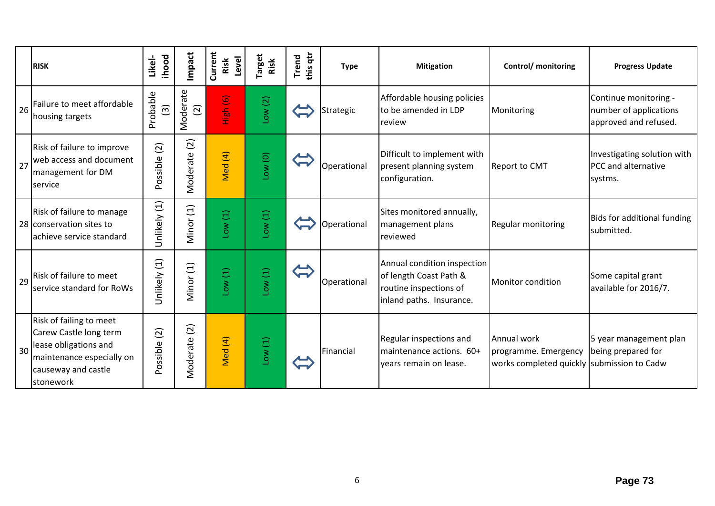|    | <b>RISK</b>                                                                                                                                 | ihood<br>Likel-            | Impact                     | Current<br>Level<br>Risk | <b>Target</b><br>Risk | this qtr<br>Trend | <b>Type</b> | <b>Mitigation</b>                                                                                           | Control/ monitoring                                                               | <b>Progress Update</b>                                                   |
|----|---------------------------------------------------------------------------------------------------------------------------------------------|----------------------------|----------------------------|--------------------------|-----------------------|-------------------|-------------|-------------------------------------------------------------------------------------------------------------|-----------------------------------------------------------------------------------|--------------------------------------------------------------------------|
| 26 | Failure to meet affordable<br>housing targets                                                                                               | Probable<br>$\widehat{3}$  | Moderate<br>$\overline{c}$ | High (6)                 | Low(2)                |                   | Strategic   | Affordable housing policies<br>to be amended in LDP<br>review                                               | Monitoring                                                                        | Continue monitoring -<br>number of applications<br>approved and refused. |
| 27 | Risk of failure to improve<br>web access and document<br>management for DM<br>service                                                       | $\overline{2}$<br>Possible | (2)<br>Moderate            | Med (4)                  | Low(0)                |                   | Operational | Difficult to implement with<br>present planning system<br>configuration.                                    | <b>Report to CMT</b>                                                              | Investigating solution with<br>PCC and alternative<br>systms.            |
|    | Risk of failure to manage<br>28 conservation sites to<br>achieve service standard                                                           | Unlikely (1)               | Minor (1)                  | Low(1)                   | Low(1)                |                   | Operational | Sites monitored annually,<br>management plans<br>reviewed                                                   | <b>Regular monitoring</b>                                                         | Bids for additional funding<br>submitted.                                |
| 29 | Risk of failure to meet<br>service standard for RoWs                                                                                        | Unlikely (1)               | Minor (1)                  | Low(1)                   | Low(1)                |                   | Operational | Annual condition inspection<br>of length Coast Path &<br>routine inspections of<br>inland paths. Insurance. | Monitor condition                                                                 | Some capital grant<br>available for 2016/7.                              |
| 30 | Risk of failing to meet<br>Carew Castle long term<br>lease obligations and<br>maintenance especially on<br>causeway and castle<br>stonework | $\boxed{2}$<br>Possible    | $\boxed{2}$<br>Moderate    | Med (4)                  | Low(1)                |                   | Financial   | Regular inspections and<br>maintenance actions. 60+<br>years remain on lease.                               | Annual work<br>programme. Emergency<br>works completed quickly submission to Cadw | 5 year management plan<br>being prepared for                             |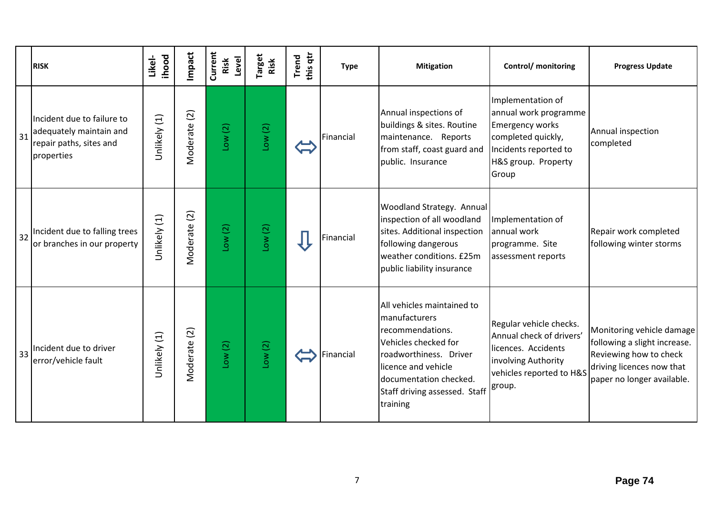|    | <b>RISK</b>                                                                                    | ihood<br>Likel- | Impact                     | Current<br>Level<br>Risk | <sup>r</sup> arget<br>Risk | this qtr<br><b>Trend</b> | <b>Type</b> | <b>Mitigation</b>                                                                                                                                                                                               | Control/ monitoring                                                                                                                                 | <b>Progress Update</b>                                                                                                                         |
|----|------------------------------------------------------------------------------------------------|-----------------|----------------------------|--------------------------|----------------------------|--------------------------|-------------|-----------------------------------------------------------------------------------------------------------------------------------------------------------------------------------------------------------------|-----------------------------------------------------------------------------------------------------------------------------------------------------|------------------------------------------------------------------------------------------------------------------------------------------------|
| 31 | Incident due to failure to<br>adequately maintain and<br>repair paths, sites and<br>properties | Unlikely (1)    | $\overline{c}$<br>Moderate | Low(2)                   | Low(2)                     |                          | Financial   | Annual inspections of<br>buildings & sites. Routine<br>maintenance. Reports<br>from staff, coast guard and<br>public. Insurance                                                                                 | Implementation of<br>annual work programme<br><b>Emergency works</b><br>completed quickly,<br>Incidents reported to<br>H&S group. Property<br>Group | Annual inspection<br>completed                                                                                                                 |
| 32 | Incident due to falling trees<br>or branches in our property                                   | Unlikely (1)    | Vloderate (2)              | Low(2)                   | Low(2)                     |                          | Financial   | <b>Woodland Strategy. Annual</b><br>inspection of all woodland<br>sites. Additional inspection<br>following dangerous<br>weather conditions. £25m<br>public liability insurance                                 | Implementation of<br>annual work<br>programme. Site<br>assessment reports                                                                           | Repair work completed<br>following winter storms                                                                                               |
| 33 | Incident due to driver<br>error/vehicle fault                                                  | Unlikely (1)    | Moderate (2)               | Low(2)                   | Low(2)                     |                          | Financial   | All vehicles maintained to<br>manufacturers<br>recommendations.<br>Vehicles checked for<br>roadworthiness. Driver<br>licence and vehicle<br>documentation checked.<br>Staff driving assessed. Staff<br>training | Regular vehicle checks.<br>Annual check of drivers'<br>licences. Accidents<br>involving Authority<br>vehicles reported to H&S<br>group.             | Monitoring vehicle damage<br>following a slight increase.<br>Reviewing how to check<br>driving licences now that<br>paper no longer available. |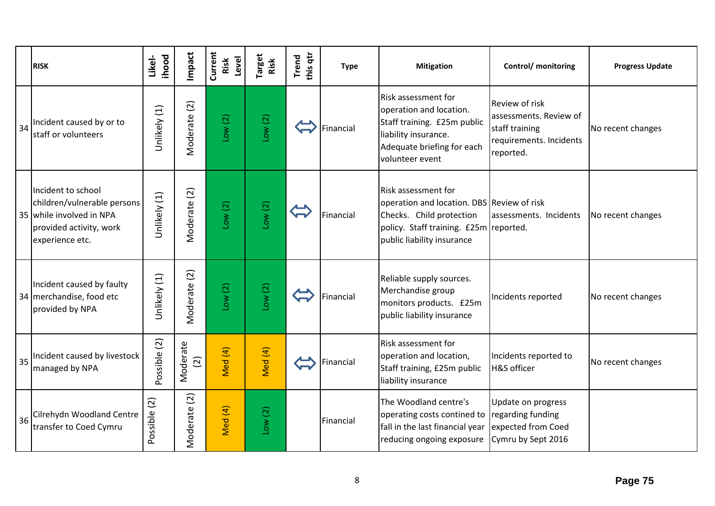|    | <b>RISK</b>                                                                                                                 | ihood<br>Likel-             | Impact                     | Current<br>Risk<br>Level | Target<br>Risk | this qtr<br><b>Trend</b> | <b>Type</b> | <b>Mitigation</b>                                                                                                                                                            | Control/ monitoring                                                                                       | <b>Progress Update</b> |
|----|-----------------------------------------------------------------------------------------------------------------------------|-----------------------------|----------------------------|--------------------------|----------------|--------------------------|-------------|------------------------------------------------------------------------------------------------------------------------------------------------------------------------------|-----------------------------------------------------------------------------------------------------------|------------------------|
| 34 | Incident caused by or to<br>staff or volunteers                                                                             | Unlikely (1)                | Moderate (2)               | Low(2)                   | Low(2)         |                          | Financial   | Risk assessment for<br>operation and location.<br>Staff training. £25m public<br>liability insurance.<br>Adequate briefing for each<br>volunteer event                       | <b>Review of risk</b><br>assessments. Review of<br>staff training<br>requirements. Incidents<br>reported. | No recent changes      |
|    | Incident to school<br>children/vulnerable persons<br>35 while involved in NPA<br>provided activity, work<br>experience etc. | Unlikely (1)                | Moderate (2)               | Low(2)                   | Low(2)         |                          | Financial   | <b>Risk assessment for</b><br>operation and location. DBS Review of risk<br>Checks. Child protection<br>policy. Staff training. £25m reported.<br>public liability insurance | assessments. Incidents                                                                                    | No recent changes      |
|    | Incident caused by faulty<br>34 merchandise, food etc<br>provided by NPA                                                    | Unlikely (1)                | Moderate (2)               | Low(2)                   | Low(2)         |                          | Financial   | Reliable supply sources.<br>Merchandise group<br>monitors products. £25m<br>public liability insurance                                                                       | Incidents reported                                                                                        | No recent changes      |
| 35 | Incident caused by livestock<br>managed by NPA                                                                              | Possible (2)                | Moderate<br>$\widehat{2}$  | Med (4)                  | Med (4)        |                          | Financial   | Risk assessment for<br>operation and location,<br>Staff training, £25m public<br>liability insurance                                                                         | Incidents reported to<br>H&S officer                                                                      | No recent changes      |
| 36 | Cilrehydn Woodland Centre<br>transfer to Coed Cymru                                                                         | $\widetilde{c}$<br>Possible | $\overline{c}$<br>Moderate | Med (4)                  | Low(2)         |                          | Financial   | The Woodland centre's<br>operating costs contined to regarding funding<br>fall in the last financial year<br>reducing ongoing exposure                                       | Update on progress<br>expected from Coed<br>Cymru by Sept 2016                                            |                        |